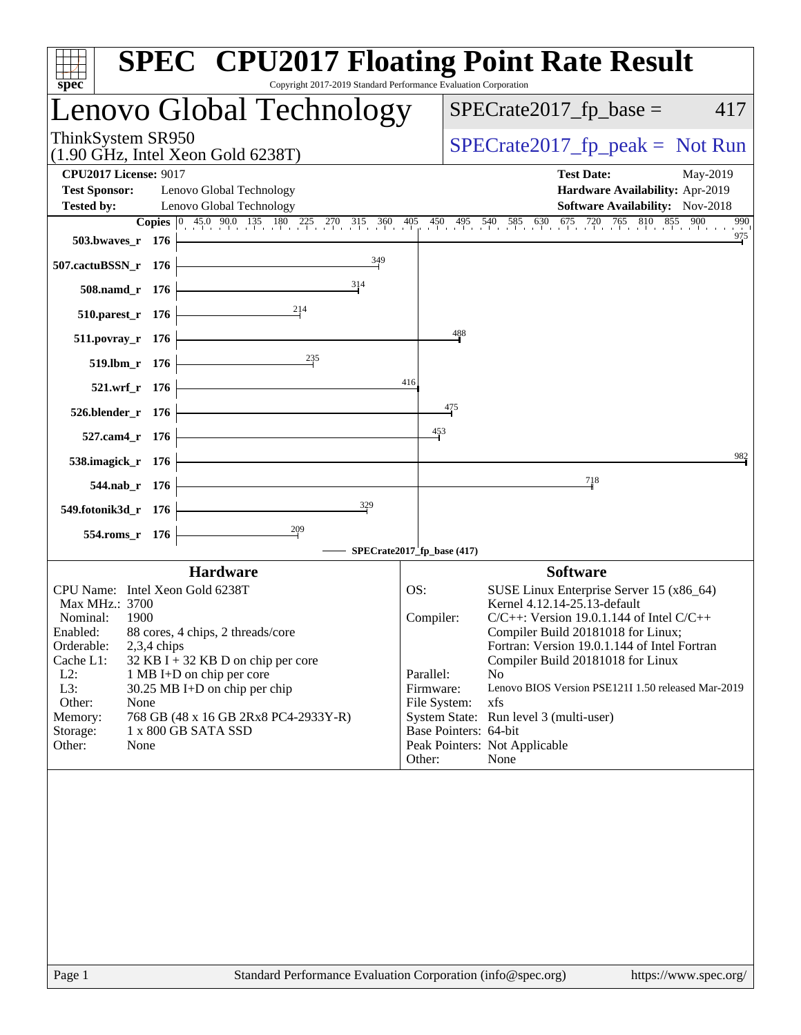| Copyright 2017-2019 Standard Performance Evaluation Corporation<br>$spec^*$                                                                                                                                                                                                                                                                                                                                         | <b>SPEC<sup>®</sup> CPU2017 Floating Point Rate Result</b>                                                                                                                                                                                                                                                                                                                                                                                                                                                              |
|---------------------------------------------------------------------------------------------------------------------------------------------------------------------------------------------------------------------------------------------------------------------------------------------------------------------------------------------------------------------------------------------------------------------|-------------------------------------------------------------------------------------------------------------------------------------------------------------------------------------------------------------------------------------------------------------------------------------------------------------------------------------------------------------------------------------------------------------------------------------------------------------------------------------------------------------------------|
| Lenovo Global Technology                                                                                                                                                                                                                                                                                                                                                                                            | $SPECrate2017_fp\_base =$<br>417                                                                                                                                                                                                                                                                                                                                                                                                                                                                                        |
| ThinkSystem SR950<br>$(1.90 \text{ GHz}, \text{Intel Xeon Gold } 6238 \text{T})$                                                                                                                                                                                                                                                                                                                                    | $SPECrate2017_fp\_peak = Not Run$                                                                                                                                                                                                                                                                                                                                                                                                                                                                                       |
| <b>CPU2017 License: 9017</b><br><b>Test Sponsor:</b><br>Lenovo Global Technology<br><b>Tested by:</b><br>Lenovo Global Technology<br>503.bwaves_r 176                                                                                                                                                                                                                                                               | <b>Test Date:</b><br>May-2019<br>Hardware Availability: Apr-2019<br>Software Availability: Nov-2018<br><b>Copies</b> $\begin{bmatrix} 0 & 45.0 & 90.0 & 135 & 180 & 225 & 270 & 315 & 360 & 405 & 450 & 495 & 540 & 585 & 630 & 675 & 720 & 765 & 810 & 855 & 900 \end{bmatrix}$<br>990<br>$\frac{975}{9}$                                                                                                                                                                                                              |
| 349<br>507.cactuBSSN_r 176                                                                                                                                                                                                                                                                                                                                                                                          |                                                                                                                                                                                                                                                                                                                                                                                                                                                                                                                         |
| 314<br>508.namd_r 176                                                                                                                                                                                                                                                                                                                                                                                               |                                                                                                                                                                                                                                                                                                                                                                                                                                                                                                                         |
| 214<br>$510.parest_r 176$                                                                                                                                                                                                                                                                                                                                                                                           |                                                                                                                                                                                                                                                                                                                                                                                                                                                                                                                         |
| 511.povray_r 176                                                                                                                                                                                                                                                                                                                                                                                                    | 488                                                                                                                                                                                                                                                                                                                                                                                                                                                                                                                     |
| $\frac{235}{5}$<br>$519. lbm_r 176$                                                                                                                                                                                                                                                                                                                                                                                 |                                                                                                                                                                                                                                                                                                                                                                                                                                                                                                                         |
| $521.wrf_r 176$                                                                                                                                                                                                                                                                                                                                                                                                     | 416                                                                                                                                                                                                                                                                                                                                                                                                                                                                                                                     |
| $526. \text{blender}_r$ 176                                                                                                                                                                                                                                                                                                                                                                                         | 475                                                                                                                                                                                                                                                                                                                                                                                                                                                                                                                     |
| 527.cam4_r 176                                                                                                                                                                                                                                                                                                                                                                                                      | $\frac{453}{5}$                                                                                                                                                                                                                                                                                                                                                                                                                                                                                                         |
| 538.imagick_r 176                                                                                                                                                                                                                                                                                                                                                                                                   | 982                                                                                                                                                                                                                                                                                                                                                                                                                                                                                                                     |
| <u> 1980 - Johann Barn, mars ann an t-</u><br>544.nab_r 176                                                                                                                                                                                                                                                                                                                                                         | 718                                                                                                                                                                                                                                                                                                                                                                                                                                                                                                                     |
| 329<br>549.fotonik3d_r 176                                                                                                                                                                                                                                                                                                                                                                                          |                                                                                                                                                                                                                                                                                                                                                                                                                                                                                                                         |
| $554$ .roms_r 176                                                                                                                                                                                                                                                                                                                                                                                                   | SPECrate2017_fp_base (417)                                                                                                                                                                                                                                                                                                                                                                                                                                                                                              |
| <b>Hardware</b>                                                                                                                                                                                                                                                                                                                                                                                                     | <b>Software</b>                                                                                                                                                                                                                                                                                                                                                                                                                                                                                                         |
| CPU Name: Intel Xeon Gold 6238T<br>Max MHz.: 3700<br>Nominal:<br>1900<br>Enabled:<br>88 cores, 4 chips, 2 threads/core<br>Orderable:<br>$2,3,4$ chips<br>Cache L1:<br>$32$ KB I + 32 KB D on chip per core<br>$L2$ :<br>1 MB I+D on chip per core<br>L3:<br>30.25 MB I+D on chip per chip<br>Other:<br>None<br>768 GB (48 x 16 GB 2Rx8 PC4-2933Y-R)<br>Memory:<br>1 x 800 GB SATA SSD<br>Storage:<br>Other:<br>None | SUSE Linux Enterprise Server 15 (x86_64)<br>OS:<br>Kernel 4.12.14-25.13-default<br>$C/C++$ : Version 19.0.1.144 of Intel $C/C++$<br>Compiler:<br>Compiler Build 20181018 for Linux;<br>Fortran: Version 19.0.1.144 of Intel Fortran<br>Compiler Build 20181018 for Linux<br>Parallel:<br>N <sub>0</sub><br>Firmware:<br>Lenovo BIOS Version PSE121I 1.50 released Mar-2019<br>xfs<br>File System:<br>System State: Run level 3 (multi-user)<br>Base Pointers: 64-bit<br>Peak Pointers: Not Applicable<br>Other:<br>None |
|                                                                                                                                                                                                                                                                                                                                                                                                                     |                                                                                                                                                                                                                                                                                                                                                                                                                                                                                                                         |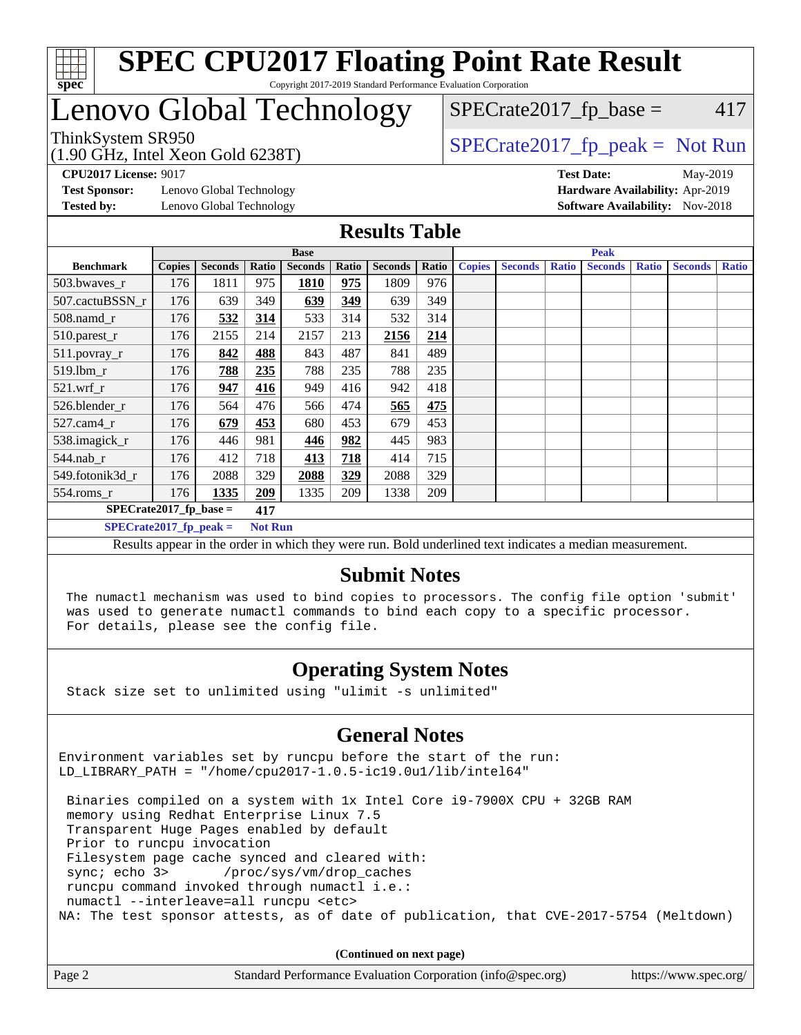

# Lenovo Global Technology

ThinkSystem SR950<br>(1.00 CHz, Intel Year Cald 6228T) [SPECrate2017\\_fp\\_peak =](http://www.spec.org/auto/cpu2017/Docs/result-fields.html#SPECrate2017fppeak) Not Run

 $SPECTate2017<sub>fr</sub> base = 417$ 

(1.90 GHz, Intel Xeon Gold 6238T)

**[Test Sponsor:](http://www.spec.org/auto/cpu2017/Docs/result-fields.html#TestSponsor)** Lenovo Global Technology **[Hardware Availability:](http://www.spec.org/auto/cpu2017/Docs/result-fields.html#HardwareAvailability)** Apr-2019 **[Tested by:](http://www.spec.org/auto/cpu2017/Docs/result-fields.html#Testedby)** Lenovo Global Technology **[Software Availability:](http://www.spec.org/auto/cpu2017/Docs/result-fields.html#SoftwareAvailability)** Nov-2018

**[CPU2017 License:](http://www.spec.org/auto/cpu2017/Docs/result-fields.html#CPU2017License)** 9017 **[Test Date:](http://www.spec.org/auto/cpu2017/Docs/result-fields.html#TestDate)** May-2019

#### **[Results Table](http://www.spec.org/auto/cpu2017/Docs/result-fields.html#ResultsTable)**

|                                 | <b>Base</b>   |                |                |                |       |                | <b>Peak</b> |               |                |              |                |              |                |              |
|---------------------------------|---------------|----------------|----------------|----------------|-------|----------------|-------------|---------------|----------------|--------------|----------------|--------------|----------------|--------------|
| <b>Benchmark</b>                | <b>Copies</b> | <b>Seconds</b> | Ratio          | <b>Seconds</b> | Ratio | <b>Seconds</b> | Ratio       | <b>Copies</b> | <b>Seconds</b> | <b>Ratio</b> | <b>Seconds</b> | <b>Ratio</b> | <b>Seconds</b> | <b>Ratio</b> |
| $503.bwaves_r$                  | 176           | 1811           | 975            | 1810           | 975   | 1809           | 976         |               |                |              |                |              |                |              |
| 507.cactuBSSN r                 | 176           | 639            | 349            | 639            | 349   | 639            | 349         |               |                |              |                |              |                |              |
| $508$ .namd $r$                 | 176           | 532            | 314            | 533            | 314   | 532            | 314         |               |                |              |                |              |                |              |
| 510.parest_r                    | 176           | 2155           | 214            | 2157           | 213   | 2156           | 214         |               |                |              |                |              |                |              |
| 511.povray_r                    | 176           | 842            | 488            | 843            | 487   | 841            | 489         |               |                |              |                |              |                |              |
| 519.lbm r                       | 176           | 788            | 235            | 788            | 235   | 788            | 235         |               |                |              |                |              |                |              |
| $521$ .wrf r                    | 176           | 947            | 416            | 949            | 416   | 942            | 418         |               |                |              |                |              |                |              |
| 526.blender r                   | 176           | 564            | 476            | 566            | 474   | 565            | 475         |               |                |              |                |              |                |              |
| $527$ .cam $4r$                 | 176           | 679            | 453            | 680            | 453   | 679            | 453         |               |                |              |                |              |                |              |
| 538.imagick_r                   | 176           | 446            | 981            | 446            | 982   | 445            | 983         |               |                |              |                |              |                |              |
| $544$ .nab r                    | 176           | 412            | 718            | 413            | 718   | 414            | 715         |               |                |              |                |              |                |              |
| 549.fotonik3d r                 | 176           | 2088           | 329            | 2088           | 329   | 2088           | 329         |               |                |              |                |              |                |              |
| $554$ .roms $_r$                | 176           | 1335           | 209            | 1335           | 209   | 1338           | 209         |               |                |              |                |              |                |              |
| $SPECrate2017$ fp base =<br>417 |               |                |                |                |       |                |             |               |                |              |                |              |                |              |
| $SPECrate2017$ fp peak =        |               |                | <b>Not Run</b> |                |       |                |             |               |                |              |                |              |                |              |

Results appear in the [order in which they were run](http://www.spec.org/auto/cpu2017/Docs/result-fields.html#RunOrder). Bold underlined text [indicates a median measurement](http://www.spec.org/auto/cpu2017/Docs/result-fields.html#Median).

#### **[Submit Notes](http://www.spec.org/auto/cpu2017/Docs/result-fields.html#SubmitNotes)**

 The numactl mechanism was used to bind copies to processors. The config file option 'submit' was used to generate numactl commands to bind each copy to a specific processor. For details, please see the config file.

#### **[Operating System Notes](http://www.spec.org/auto/cpu2017/Docs/result-fields.html#OperatingSystemNotes)**

Stack size set to unlimited using "ulimit -s unlimited"

#### **[General Notes](http://www.spec.org/auto/cpu2017/Docs/result-fields.html#GeneralNotes)**

Environment variables set by runcpu before the start of the run: LD LIBRARY PATH = "/home/cpu2017-1.0.5-ic19.0u1/lib/intel64"

 Binaries compiled on a system with 1x Intel Core i9-7900X CPU + 32GB RAM memory using Redhat Enterprise Linux 7.5 Transparent Huge Pages enabled by default Prior to runcpu invocation Filesystem page cache synced and cleared with: sync; echo 3> /proc/sys/vm/drop\_caches runcpu command invoked through numactl i.e.: numactl --interleave=all runcpu <etc> NA: The test sponsor attests, as of date of publication, that CVE-2017-5754 (Meltdown)

**(Continued on next page)**

| Page 2 | Standard Performance Evaluation Corporation (info@spec.org) | https://www.spec.org/ |
|--------|-------------------------------------------------------------|-----------------------|
|--------|-------------------------------------------------------------|-----------------------|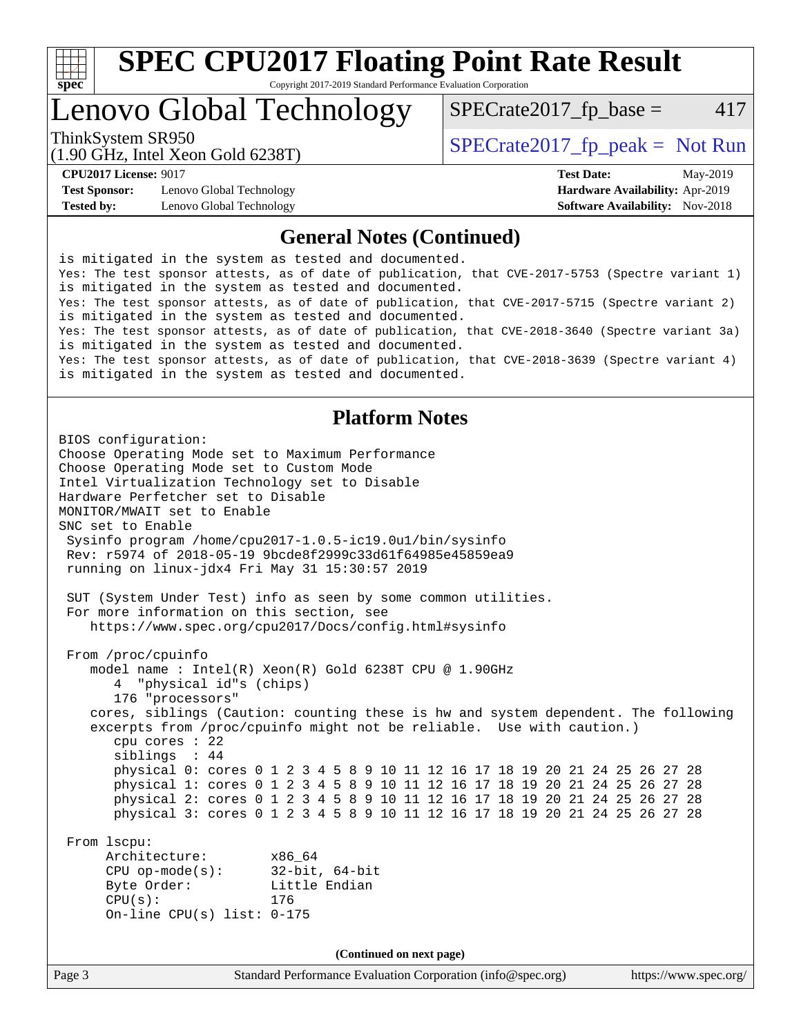

# **[SPEC CPU2017 Floating Point Rate Result](http://www.spec.org/auto/cpu2017/Docs/result-fields.html#SPECCPU2017FloatingPointRateResult)**

Copyright 2017-2019 Standard Performance Evaluation Corporation

Lenovo Global Technology

 $SPECTate2017<sub>fr</sub> base = 417$ 

(1.90 GHz, Intel Xeon Gold 6238T)

ThinkSystem SR950<br>  $(1.00 \text{ GHz. Intel Yes} \text{ }^{3} \text{ }^{3} \text{ }^{2} \text{ }^{3} \text{ }^{3} \text{ }^{3} \text{ }^{3} \text{ }^{3} \text{ }^{3} \text{ }^{3} \text{ }^{3} \text{ }^{3} \text{ }^{3} \text{ }^{3} \text{ }^{3} \text{ }^{3} \text{ }^{3} \text{ }^{3} \text{ }^{3} \text{ }^{3} \text{ }^{3} \text{ }^{3} \text{ }^{3} \text{ }^{3} \text{ }^{3} \text{ }^{3} \text{ }^{3$ 

**[Test Sponsor:](http://www.spec.org/auto/cpu2017/Docs/result-fields.html#TestSponsor)** Lenovo Global Technology **[Hardware Availability:](http://www.spec.org/auto/cpu2017/Docs/result-fields.html#HardwareAvailability)** Apr-2019 **[Tested by:](http://www.spec.org/auto/cpu2017/Docs/result-fields.html#Testedby)** Lenovo Global Technology **[Software Availability:](http://www.spec.org/auto/cpu2017/Docs/result-fields.html#SoftwareAvailability)** Nov-2018

**[CPU2017 License:](http://www.spec.org/auto/cpu2017/Docs/result-fields.html#CPU2017License)** 9017 **[Test Date:](http://www.spec.org/auto/cpu2017/Docs/result-fields.html#TestDate)** May-2019

#### **[General Notes \(Continued\)](http://www.spec.org/auto/cpu2017/Docs/result-fields.html#GeneralNotes)**

is mitigated in the system as tested and documented. Yes: The test sponsor attests, as of date of publication, that CVE-2017-5753 (Spectre variant 1) is mitigated in the system as tested and documented. Yes: The test sponsor attests, as of date of publication, that CVE-2017-5715 (Spectre variant 2) is mitigated in the system as tested and documented. Yes: The test sponsor attests, as of date of publication, that CVE-2018-3640 (Spectre variant 3a) is mitigated in the system as tested and documented. Yes: The test sponsor attests, as of date of publication, that CVE-2018-3639 (Spectre variant 4) is mitigated in the system as tested and documented.

#### **[Platform Notes](http://www.spec.org/auto/cpu2017/Docs/result-fields.html#PlatformNotes)**

BIOS configuration: Choose Operating Mode set to Maximum Performance Choose Operating Mode set to Custom Mode Intel Virtualization Technology set to Disable Hardware Perfetcher set to Disable MONITOR/MWAIT set to Enable SNC set to Enable Sysinfo program /home/cpu2017-1.0.5-ic19.0u1/bin/sysinfo Rev: r5974 of 2018-05-19 9bcde8f2999c33d61f64985e45859ea9 running on linux-jdx4 Fri May 31 15:30:57 2019 SUT (System Under Test) info as seen by some common utilities. For more information on this section, see <https://www.spec.org/cpu2017/Docs/config.html#sysinfo> From /proc/cpuinfo model name : Intel(R) Xeon(R) Gold 6238T CPU @ 1.90GHz 4 "physical id"s (chips) 176 "processors" cores, siblings (Caution: counting these is hw and system dependent. The following excerpts from /proc/cpuinfo might not be reliable. Use with caution.) cpu cores : 22 siblings : 44 physical 0: cores 0 1 2 3 4 5 8 9 10 11 12 16 17 18 19 20 21 24 25 26 27 28 physical 1: cores 0 1 2 3 4 5 8 9 10 11 12 16 17 18 19 20 21 24 25 26 27 28 physical 2: cores 0 1 2 3 4 5 8 9 10 11 12 16 17 18 19 20 21 24 25 26 27 28 physical 3: cores 0 1 2 3 4 5 8 9 10 11 12 16 17 18 19 20 21 24 25 26 27 28 From lscpu: Architecture: x86\_64 CPU op-mode(s): 32-bit, 64-bit Byte Order: Little Endian CPU(s): 176 On-line CPU(s) list: 0-175 **(Continued on next page)**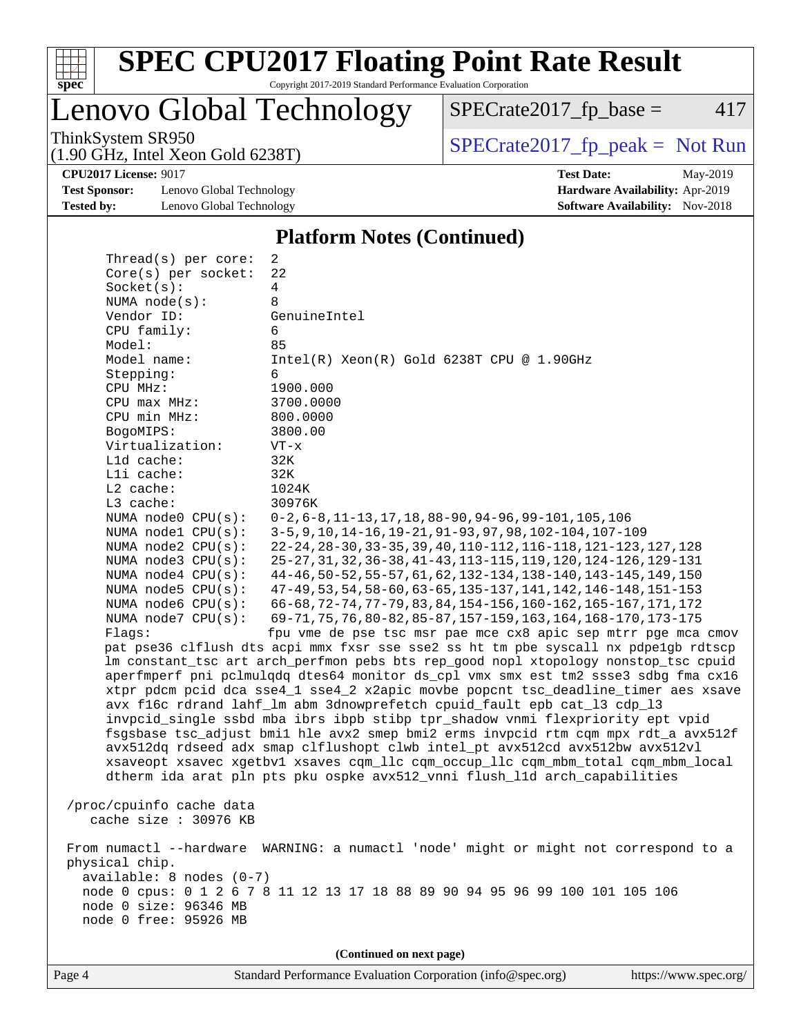

# **[SPEC CPU2017 Floating Point Rate Result](http://www.spec.org/auto/cpu2017/Docs/result-fields.html#SPECCPU2017FloatingPointRateResult)**

Copyright 2017-2019 Standard Performance Evaluation Corporation

Lenovo Global Technology

 $SPECrate2017_fp\_base = 417$ 

(1.90 GHz, Intel Xeon Gold 6238T)

ThinkSystem SR950<br>(1.90 GHz, Intel Xeon Gold 6238T) [SPECrate2017\\_fp\\_peak =](http://www.spec.org/auto/cpu2017/Docs/result-fields.html#SPECrate2017fppeak) Not Run

**[Test Sponsor:](http://www.spec.org/auto/cpu2017/Docs/result-fields.html#TestSponsor)** Lenovo Global Technology **[Hardware Availability:](http://www.spec.org/auto/cpu2017/Docs/result-fields.html#HardwareAvailability)** Apr-2019 **[Tested by:](http://www.spec.org/auto/cpu2017/Docs/result-fields.html#Testedby)** Lenovo Global Technology **[Software Availability:](http://www.spec.org/auto/cpu2017/Docs/result-fields.html#SoftwareAvailability)** Nov-2018

**[CPU2017 License:](http://www.spec.org/auto/cpu2017/Docs/result-fields.html#CPU2017License)** 9017 **[Test Date:](http://www.spec.org/auto/cpu2017/Docs/result-fields.html#TestDate)** May-2019

#### **[Platform Notes \(Continued\)](http://www.spec.org/auto/cpu2017/Docs/result-fields.html#PlatformNotes)**

| Thread(s) per core:      | 2                                                                                                                                                             |
|--------------------------|---------------------------------------------------------------------------------------------------------------------------------------------------------------|
| Core(s) per socket:      | 22                                                                                                                                                            |
| Socket(s):               | 4                                                                                                                                                             |
| NUMA $node(s):$          | 8                                                                                                                                                             |
| Vendor ID:               | GenuineIntel                                                                                                                                                  |
| CPU family:              | 6                                                                                                                                                             |
| Model:                   | 85                                                                                                                                                            |
| Model name:              | $Intel(R) Xeon(R) Gold 6238T CPU @ 1.90GHz$                                                                                                                   |
| Stepping:                | 6                                                                                                                                                             |
| CPU MHz:                 | 1900.000                                                                                                                                                      |
| $CPU$ max $MHz$ :        | 3700.0000                                                                                                                                                     |
| CPU min MHz:             | 800.0000                                                                                                                                                      |
| BogoMIPS:                | 3800.00                                                                                                                                                       |
| Virtualization:          | $VT - x$                                                                                                                                                      |
| L1d cache:               | 32K                                                                                                                                                           |
| Lli cache:               | 32K                                                                                                                                                           |
| $L2$ cache:              | 1024K                                                                                                                                                         |
| L3 cache:                | 30976K                                                                                                                                                        |
| NUMA node0 CPU(s):       | $0-2, 6-8, 11-13, 17, 18, 88-90, 94-96, 99-101, 105, 106$                                                                                                     |
| NUMA nodel CPU(s):       | 3-5, 9, 10, 14-16, 19-21, 91-93, 97, 98, 102-104, 107-109                                                                                                     |
| NUMA $node2$ $CPU(s):$   | 22-24, 28-30, 33-35, 39, 40, 110-112, 116-118, 121-123, 127, 128                                                                                              |
| NUMA node3 CPU(s):       | 25-27, 31, 32, 36-38, 41-43, 113-115, 119, 120, 124-126, 129-131                                                                                              |
| NUMA $node4$ $CPU(s):$   | 44-46, 50-52, 55-57, 61, 62, 132-134, 138-140, 143-145, 149, 150                                                                                              |
| NUMA node5 CPU(s):       | 47-49, 53, 54, 58-60, 63-65, 135-137, 141, 142, 146-148, 151-153                                                                                              |
| NUMA node6 CPU(s):       | 66-68, 72-74, 77-79, 83, 84, 154-156, 160-162, 165-167, 171, 172                                                                                              |
| NUMA node7 CPU(s):       | 69-71, 75, 76, 80-82, 85-87, 157-159, 163, 164, 168-170, 173-175                                                                                              |
| Flaqs:                   | fpu vme de pse tsc msr pae mce cx8 apic sep mtrr pge mca cmov                                                                                                 |
|                          | pat pse36 clflush dts acpi mmx fxsr sse sse2 ss ht tm pbe syscall nx pdpelgb rdtscp                                                                           |
|                          | lm constant_tsc art arch_perfmon pebs bts rep_good nopl xtopology nonstop_tsc cpuid                                                                           |
|                          | aperfmperf pni pclmulqdq dtes64 monitor ds_cpl vmx smx est tm2 ssse3 sdbg fma cx16                                                                            |
|                          | xtpr pdcm pcid dca sse4_1 sse4_2 x2apic movbe popcnt tsc_deadline_timer aes xsave                                                                             |
|                          | avx f16c rdrand lahf_lm abm 3dnowprefetch cpuid_fault epb cat_13 cdp_13                                                                                       |
|                          | invpcid_single ssbd mba ibrs ibpb stibp tpr_shadow vnmi flexpriority ept vpid                                                                                 |
|                          | fsgsbase tsc_adjust bmil hle avx2 smep bmi2 erms invpcid rtm cqm mpx rdt_a avx512f                                                                            |
|                          | avx512dq rdseed adx smap clflushopt clwb intel_pt avx512cd avx512bw avx512vl                                                                                  |
|                          | xsaveopt xsavec xgetbvl xsaves cqm_llc cqm_occup_llc cqm_mbm_total cqm_mbm_local<br>dtherm ida arat pln pts pku ospke avx512_vnni flush_lld arch_capabilities |
|                          |                                                                                                                                                               |
| /proc/cpuinfo cache data |                                                                                                                                                               |
| cache size $: 30976$ KB  |                                                                                                                                                               |
|                          |                                                                                                                                                               |
|                          | From numactl --hardware WARNING: a numactl 'node' might or might not correspond to a                                                                          |
| physical chip.           |                                                                                                                                                               |
| available: 8 nodes (0-7) |                                                                                                                                                               |
|                          | node 0 cpus: 0 1 2 6 7 8 11 12 13 17 18 88 89 90 94 95 96 99 100 101 105 106                                                                                  |
| node 0 size: 96346 MB    |                                                                                                                                                               |
| node 0 free: 95926 MB    |                                                                                                                                                               |
|                          |                                                                                                                                                               |
|                          | (Continued on next page)                                                                                                                                      |
|                          |                                                                                                                                                               |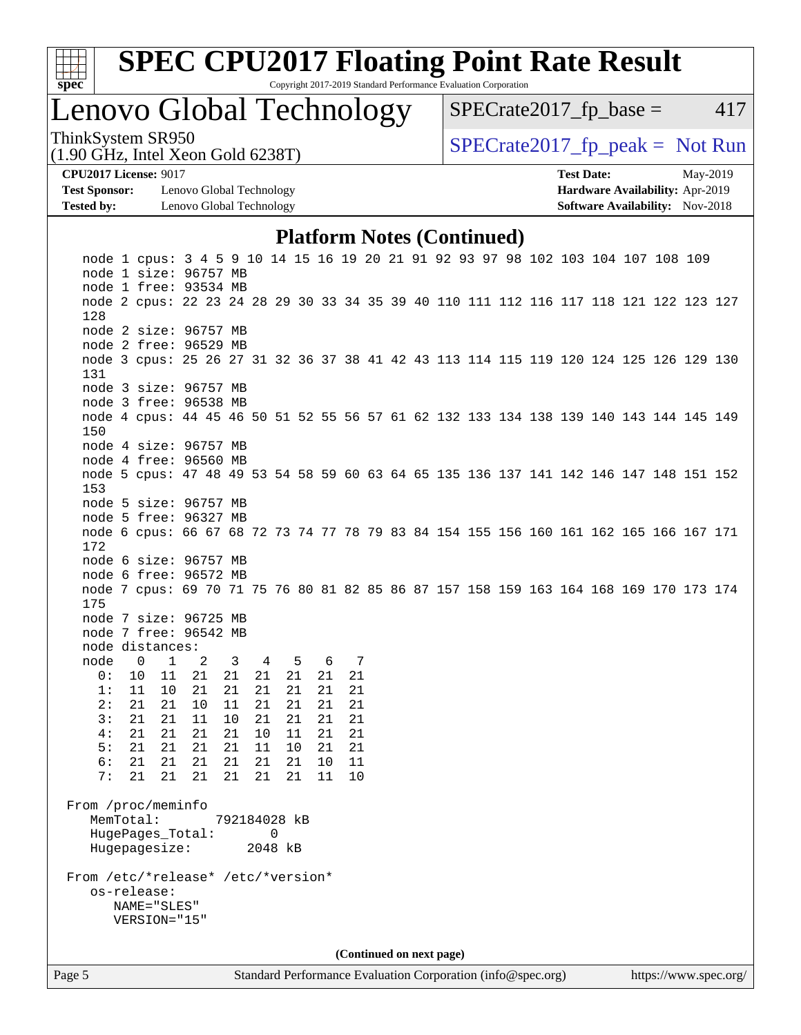

### Lenovo Global Technology

 $SPECTate2017<sub>fr</sub> base = 417$ 

(1.90 GHz, Intel Xeon Gold 6238T)

ThinkSystem SR950<br>(1.00 CHz, Intel Year Gald 6228T) [SPECrate2017\\_fp\\_peak =](http://www.spec.org/auto/cpu2017/Docs/result-fields.html#SPECrate2017fppeak) Not Run

**[CPU2017 License:](http://www.spec.org/auto/cpu2017/Docs/result-fields.html#CPU2017License)** 9017 **[Test Date:](http://www.spec.org/auto/cpu2017/Docs/result-fields.html#TestDate)** May-2019

**[Test Sponsor:](http://www.spec.org/auto/cpu2017/Docs/result-fields.html#TestSponsor)** Lenovo Global Technology **[Hardware Availability:](http://www.spec.org/auto/cpu2017/Docs/result-fields.html#HardwareAvailability)** Apr-2019 **[Tested by:](http://www.spec.org/auto/cpu2017/Docs/result-fields.html#Testedby)** Lenovo Global Technology **[Software Availability:](http://www.spec.org/auto/cpu2017/Docs/result-fields.html#SoftwareAvailability)** Nov-2018

### **[Platform Notes \(Continued\)](http://www.spec.org/auto/cpu2017/Docs/result-fields.html#PlatformNotes)**

Page 5 Standard Performance Evaluation Corporation [\(info@spec.org\)](mailto:info@spec.org) <https://www.spec.org/>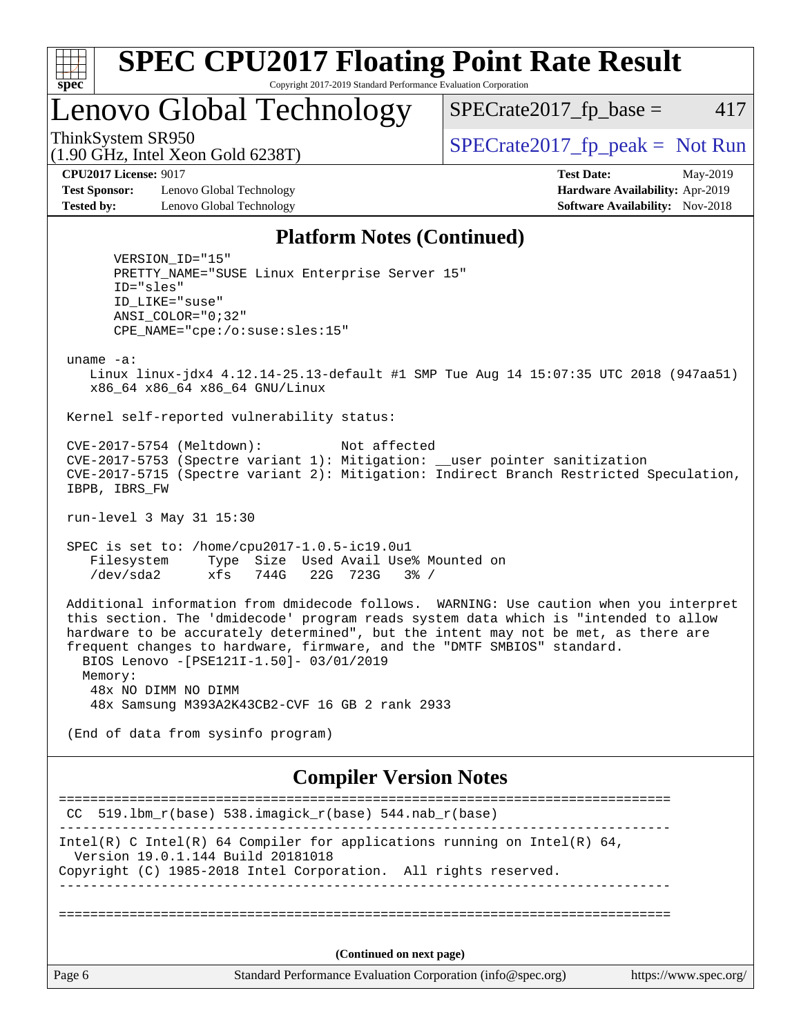

Lenovo Global Technology

 $SPECTate2017<sub>fr</sub> base = 417$ 

(1.90 GHz, Intel Xeon Gold 6238T)

ThinkSystem SR950<br>(1.00 CHz, Intel Year Gald 6228T) [SPECrate2017\\_fp\\_peak =](http://www.spec.org/auto/cpu2017/Docs/result-fields.html#SPECrate2017fppeak) Not Run

**[Test Sponsor:](http://www.spec.org/auto/cpu2017/Docs/result-fields.html#TestSponsor)** Lenovo Global Technology **[Hardware Availability:](http://www.spec.org/auto/cpu2017/Docs/result-fields.html#HardwareAvailability)** Apr-2019 **[Tested by:](http://www.spec.org/auto/cpu2017/Docs/result-fields.html#Testedby)** Lenovo Global Technology **[Software Availability:](http://www.spec.org/auto/cpu2017/Docs/result-fields.html#SoftwareAvailability)** Nov-2018

**[CPU2017 License:](http://www.spec.org/auto/cpu2017/Docs/result-fields.html#CPU2017License)** 9017 **[Test Date:](http://www.spec.org/auto/cpu2017/Docs/result-fields.html#TestDate)** May-2019

#### **[Platform Notes \(Continued\)](http://www.spec.org/auto/cpu2017/Docs/result-fields.html#PlatformNotes)**

 VERSION\_ID="15" PRETTY\_NAME="SUSE Linux Enterprise Server 15" ID="sles" ID\_LIKE="suse" ANSI\_COLOR="0;32" CPE\_NAME="cpe:/o:suse:sles:15" uname -a: Linux linux-jdx4 4.12.14-25.13-default #1 SMP Tue Aug 14 15:07:35 UTC 2018 (947aa51) x86\_64 x86\_64 x86\_64 GNU/Linux Kernel self-reported vulnerability status: CVE-2017-5754 (Meltdown): Not affected CVE-2017-5753 (Spectre variant 1): Mitigation: \_\_user pointer sanitization CVE-2017-5715 (Spectre variant 2): Mitigation: Indirect Branch Restricted Speculation, IBPB, IBRS\_FW run-level 3 May 31 15:30 SPEC is set to: /home/cpu2017-1.0.5-ic19.0u1 Filesystem Type Size Used Avail Use% Mounted on /dev/sda2 xfs 744G 22G 723G 3% / Additional information from dmidecode follows. WARNING: Use caution when you interpret this section. The 'dmidecode' program reads system data which is "intended to allow hardware to be accurately determined", but the intent may not be met, as there are frequent changes to hardware, firmware, and the "DMTF SMBIOS" standard. BIOS Lenovo -[PSE121I-1.50]- 03/01/2019 Memory: 48x NO DIMM NO DIMM 48x Samsung M393A2K43CB2-CVF 16 GB 2 rank 2933 (End of data from sysinfo program)

#### **[Compiler Version Notes](http://www.spec.org/auto/cpu2017/Docs/result-fields.html#CompilerVersionNotes)**

|        | $CC$ 519.1bm_r(base) 538.imagick_r(base) 544.nab_r(base)                                                      |  |
|--------|---------------------------------------------------------------------------------------------------------------|--|
|        | Intel(R) C Intel(R) 64 Compiler for applications running on Intel(R) 64,<br>Version 19.0.1.144 Build 20181018 |  |
|        | Copyright (C) 1985-2018 Intel Corporation. All rights reserved.                                               |  |
|        |                                                                                                               |  |
|        | (Continued on next page)                                                                                      |  |
| Page 6 | Standard Performance Evaluation Corporation (info@spec.org)<br>https://www.spec.org/                          |  |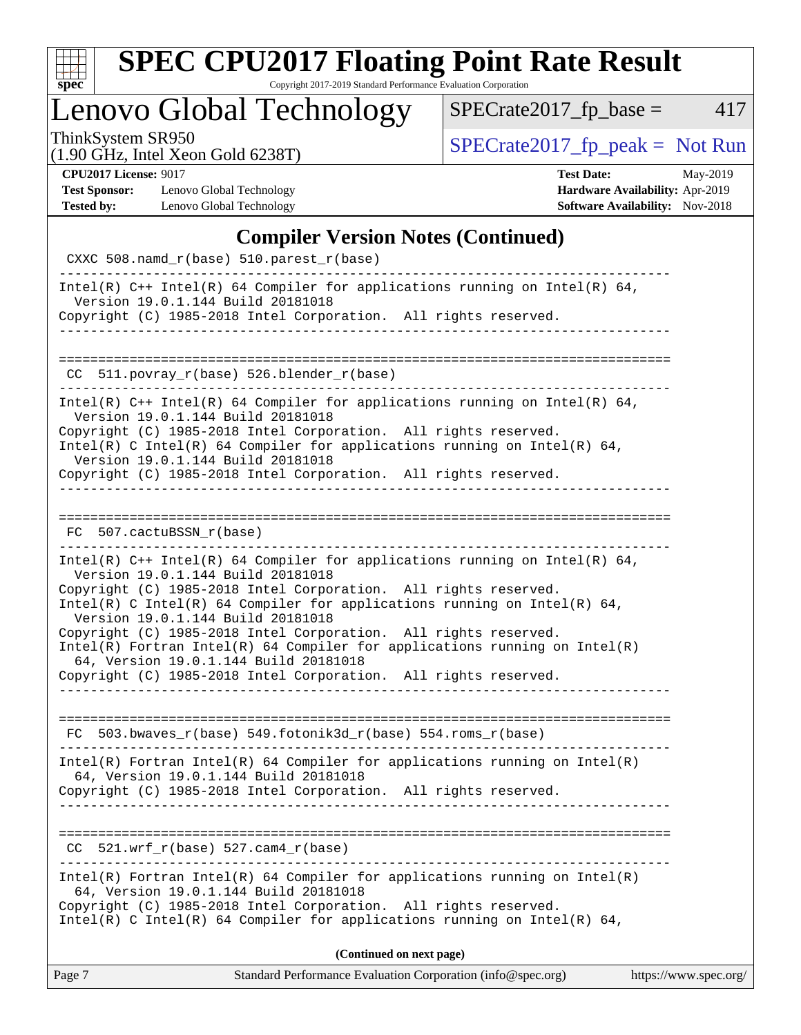| $S^1$<br>Эe<br>Ċ, |  |  |  |  |  |
|-------------------|--|--|--|--|--|

# **[SPEC CPU2017 Floating Point Rate Result](http://www.spec.org/auto/cpu2017/Docs/result-fields.html#SPECCPU2017FloatingPointRateResult)**

Copyright 2017-2019 Standard Performance Evaluation Corporation

# Lenovo Global Technology

ThinkSystem SR950<br>(1.90 GHz, Intel Xeon Gold 6238T) [SPECrate2017\\_fp\\_peak =](http://www.spec.org/auto/cpu2017/Docs/result-fields.html#SPECrate2017fppeak) Not Run

 $SPECTate2017_fp\_base = 417$ 

(1.90 GHz, Intel Xeon Gold 6238T)

**[CPU2017 License:](http://www.spec.org/auto/cpu2017/Docs/result-fields.html#CPU2017License)** 9017 **[Test Date:](http://www.spec.org/auto/cpu2017/Docs/result-fields.html#TestDate)** May-2019 **[Test Sponsor:](http://www.spec.org/auto/cpu2017/Docs/result-fields.html#TestSponsor)** Lenovo Global Technology **[Hardware Availability:](http://www.spec.org/auto/cpu2017/Docs/result-fields.html#HardwareAvailability)** Apr-2019 **[Tested by:](http://www.spec.org/auto/cpu2017/Docs/result-fields.html#Testedby)** Lenovo Global Technology **[Software Availability:](http://www.spec.org/auto/cpu2017/Docs/result-fields.html#SoftwareAvailability)** Nov-2018

#### [Compiler Version Notes \(Continued\)](http://www.spec.org/auto/cpu2017/Docs/result-fields.html#CompilerVersionNotes)

| Complier version votes (Communed)<br>CXXC 508.namd_r(base) 510.parest_r(base)                                                                                                                                                                                                                                                                                                                                                                                                                                                                                        |                       |
|----------------------------------------------------------------------------------------------------------------------------------------------------------------------------------------------------------------------------------------------------------------------------------------------------------------------------------------------------------------------------------------------------------------------------------------------------------------------------------------------------------------------------------------------------------------------|-----------------------|
| Intel(R) $C++$ Intel(R) 64 Compiler for applications running on Intel(R) 64,<br>Version 19.0.1.144 Build 20181018<br>Copyright (C) 1985-2018 Intel Corporation. All rights reserved.                                                                                                                                                                                                                                                                                                                                                                                 |                       |
|                                                                                                                                                                                                                                                                                                                                                                                                                                                                                                                                                                      |                       |
| $CC$ 511.povray_r(base) 526.blender_r(base)                                                                                                                                                                                                                                                                                                                                                                                                                                                                                                                          |                       |
| Intel(R) $C++$ Intel(R) 64 Compiler for applications running on Intel(R) 64,<br>Version 19.0.1.144 Build 20181018<br>Copyright (C) 1985-2018 Intel Corporation. All rights reserved.<br>Intel(R) C Intel(R) 64 Compiler for applications running on Intel(R) 64,<br>Version 19.0.1.144 Build 20181018<br>Copyright (C) 1985-2018 Intel Corporation. All rights reserved.                                                                                                                                                                                             |                       |
|                                                                                                                                                                                                                                                                                                                                                                                                                                                                                                                                                                      |                       |
| FC 507.cactuBSSN_r(base)                                                                                                                                                                                                                                                                                                                                                                                                                                                                                                                                             |                       |
| Intel(R) $C++$ Intel(R) 64 Compiler for applications running on Intel(R) 64,<br>Version 19.0.1.144 Build 20181018<br>Copyright (C) 1985-2018 Intel Corporation. All rights reserved.<br>Intel(R) C Intel(R) 64 Compiler for applications running on Intel(R) 64,<br>Version 19.0.1.144 Build 20181018<br>Copyright (C) 1985-2018 Intel Corporation. All rights reserved.<br>$Intel(R)$ Fortran Intel(R) 64 Compiler for applications running on Intel(R)<br>64, Version 19.0.1.144 Build 20181018<br>Copyright (C) 1985-2018 Intel Corporation. All rights reserved. |                       |
| FC 503.bwaves_r(base) 549.fotonik3d_r(base) 554.roms_r(base)                                                                                                                                                                                                                                                                                                                                                                                                                                                                                                         |                       |
| $Intel(R)$ Fortran Intel(R) 64 Compiler for applications running on Intel(R)<br>64, Version 19.0.1.144 Build 20181018<br>Copyright (C) 1985-2018 Intel Corporation. All rights reserved.                                                                                                                                                                                                                                                                                                                                                                             |                       |
| $CC$ 521.wrf_r(base) 527.cam4_r(base)                                                                                                                                                                                                                                                                                                                                                                                                                                                                                                                                |                       |
| $Intel(R)$ Fortran Intel(R) 64 Compiler for applications running on Intel(R)<br>64, Version 19.0.1.144 Build 20181018<br>Copyright (C) 1985-2018 Intel Corporation. All rights reserved.<br>Intel(R) C Intel(R) 64 Compiler for applications running on Intel(R) 64,                                                                                                                                                                                                                                                                                                 |                       |
| (Continued on next page)                                                                                                                                                                                                                                                                                                                                                                                                                                                                                                                                             |                       |
| Standard Performance Evaluation Corporation (info@spec.org)<br>Page 7                                                                                                                                                                                                                                                                                                                                                                                                                                                                                                | https://www.spec.org/ |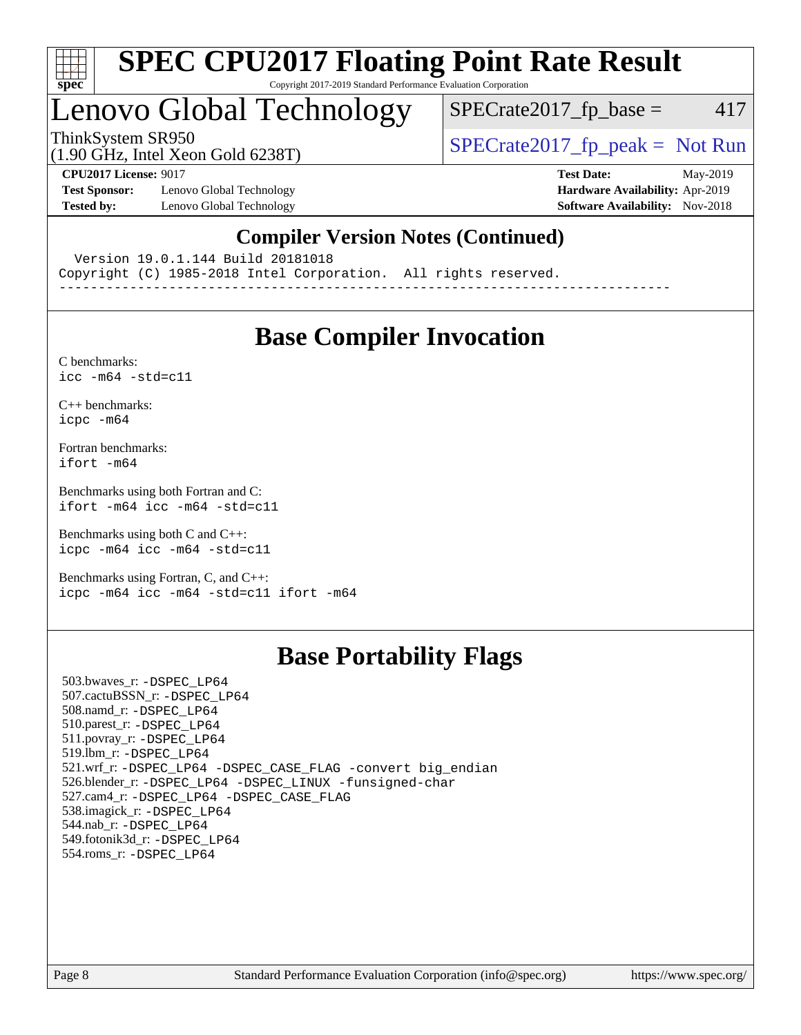

### Lenovo Global Technology

 $SPECTate2017<sub>fr</sub> base = 417$ 

(1.90 GHz, Intel Xeon Gold 6238T)

ThinkSystem SR950<br>  $(1.00 \text{ GHz. Intel Yes} \text{ }^{3} \text{ }^{3} \text{ }^{2} \text{ }^{3} \text{ }^{3} \text{ }^{3} \text{ }^{3} \text{ }^{3} \text{ }^{3} \text{ }^{3} \text{ }^{3} \text{ }^{3} \text{ }^{3} \text{ }^{3} \text{ }^{3} \text{ }^{3} \text{ }^{3} \text{ }^{3} \text{ }^{3} \text{ }^{3} \text{ }^{3} \text{ }^{3} \text{ }^{3} \text{ }^{3} \text{ }^{3} \text{ }^{3} \text{ }^{3$ 

**[Test Sponsor:](http://www.spec.org/auto/cpu2017/Docs/result-fields.html#TestSponsor)** Lenovo Global Technology **[Hardware Availability:](http://www.spec.org/auto/cpu2017/Docs/result-fields.html#HardwareAvailability)** Apr-2019 **[Tested by:](http://www.spec.org/auto/cpu2017/Docs/result-fields.html#Testedby)** Lenovo Global Technology **[Software Availability:](http://www.spec.org/auto/cpu2017/Docs/result-fields.html#SoftwareAvailability)** Nov-2018

**[CPU2017 License:](http://www.spec.org/auto/cpu2017/Docs/result-fields.html#CPU2017License)** 9017 **[Test Date:](http://www.spec.org/auto/cpu2017/Docs/result-fields.html#TestDate)** May-2019

#### **[Compiler Version Notes \(Continued\)](http://www.spec.org/auto/cpu2017/Docs/result-fields.html#CompilerVersionNotes)**

Version 19.0.1.144 Build 20181018

Copyright (C) 1985-2018 Intel Corporation. All rights reserved.

------------------------------------------------------------------------------

### **[Base Compiler Invocation](http://www.spec.org/auto/cpu2017/Docs/result-fields.html#BaseCompilerInvocation)**

[C benchmarks](http://www.spec.org/auto/cpu2017/Docs/result-fields.html#Cbenchmarks):  $icc - m64 - std = c11$ 

[C++ benchmarks:](http://www.spec.org/auto/cpu2017/Docs/result-fields.html#CXXbenchmarks) [icpc -m64](http://www.spec.org/cpu2017/results/res2019q3/cpu2017-20190624-15555.flags.html#user_CXXbase_intel_icpc_64bit_4ecb2543ae3f1412ef961e0650ca070fec7b7afdcd6ed48761b84423119d1bf6bdf5cad15b44d48e7256388bc77273b966e5eb805aefd121eb22e9299b2ec9d9)

[Fortran benchmarks](http://www.spec.org/auto/cpu2017/Docs/result-fields.html#Fortranbenchmarks): [ifort -m64](http://www.spec.org/cpu2017/results/res2019q3/cpu2017-20190624-15555.flags.html#user_FCbase_intel_ifort_64bit_24f2bb282fbaeffd6157abe4f878425411749daecae9a33200eee2bee2fe76f3b89351d69a8130dd5949958ce389cf37ff59a95e7a40d588e8d3a57e0c3fd751)

[Benchmarks using both Fortran and C](http://www.spec.org/auto/cpu2017/Docs/result-fields.html#BenchmarksusingbothFortranandC): [ifort -m64](http://www.spec.org/cpu2017/results/res2019q3/cpu2017-20190624-15555.flags.html#user_CC_FCbase_intel_ifort_64bit_24f2bb282fbaeffd6157abe4f878425411749daecae9a33200eee2bee2fe76f3b89351d69a8130dd5949958ce389cf37ff59a95e7a40d588e8d3a57e0c3fd751) [icc -m64 -std=c11](http://www.spec.org/cpu2017/results/res2019q3/cpu2017-20190624-15555.flags.html#user_CC_FCbase_intel_icc_64bit_c11_33ee0cdaae7deeeab2a9725423ba97205ce30f63b9926c2519791662299b76a0318f32ddfffdc46587804de3178b4f9328c46fa7c2b0cd779d7a61945c91cd35)

[Benchmarks using both C and C++](http://www.spec.org/auto/cpu2017/Docs/result-fields.html#BenchmarksusingbothCandCXX): [icpc -m64](http://www.spec.org/cpu2017/results/res2019q3/cpu2017-20190624-15555.flags.html#user_CC_CXXbase_intel_icpc_64bit_4ecb2543ae3f1412ef961e0650ca070fec7b7afdcd6ed48761b84423119d1bf6bdf5cad15b44d48e7256388bc77273b966e5eb805aefd121eb22e9299b2ec9d9) [icc -m64 -std=c11](http://www.spec.org/cpu2017/results/res2019q3/cpu2017-20190624-15555.flags.html#user_CC_CXXbase_intel_icc_64bit_c11_33ee0cdaae7deeeab2a9725423ba97205ce30f63b9926c2519791662299b76a0318f32ddfffdc46587804de3178b4f9328c46fa7c2b0cd779d7a61945c91cd35)

[Benchmarks using Fortran, C, and C++:](http://www.spec.org/auto/cpu2017/Docs/result-fields.html#BenchmarksusingFortranCandCXX) [icpc -m64](http://www.spec.org/cpu2017/results/res2019q3/cpu2017-20190624-15555.flags.html#user_CC_CXX_FCbase_intel_icpc_64bit_4ecb2543ae3f1412ef961e0650ca070fec7b7afdcd6ed48761b84423119d1bf6bdf5cad15b44d48e7256388bc77273b966e5eb805aefd121eb22e9299b2ec9d9) [icc -m64 -std=c11](http://www.spec.org/cpu2017/results/res2019q3/cpu2017-20190624-15555.flags.html#user_CC_CXX_FCbase_intel_icc_64bit_c11_33ee0cdaae7deeeab2a9725423ba97205ce30f63b9926c2519791662299b76a0318f32ddfffdc46587804de3178b4f9328c46fa7c2b0cd779d7a61945c91cd35) [ifort -m64](http://www.spec.org/cpu2017/results/res2019q3/cpu2017-20190624-15555.flags.html#user_CC_CXX_FCbase_intel_ifort_64bit_24f2bb282fbaeffd6157abe4f878425411749daecae9a33200eee2bee2fe76f3b89351d69a8130dd5949958ce389cf37ff59a95e7a40d588e8d3a57e0c3fd751)

### **[Base Portability Flags](http://www.spec.org/auto/cpu2017/Docs/result-fields.html#BasePortabilityFlags)**

 503.bwaves\_r: [-DSPEC\\_LP64](http://www.spec.org/cpu2017/results/res2019q3/cpu2017-20190624-15555.flags.html#suite_basePORTABILITY503_bwaves_r_DSPEC_LP64) 507.cactuBSSN\_r: [-DSPEC\\_LP64](http://www.spec.org/cpu2017/results/res2019q3/cpu2017-20190624-15555.flags.html#suite_basePORTABILITY507_cactuBSSN_r_DSPEC_LP64) 508.namd\_r: [-DSPEC\\_LP64](http://www.spec.org/cpu2017/results/res2019q3/cpu2017-20190624-15555.flags.html#suite_basePORTABILITY508_namd_r_DSPEC_LP64) 510.parest\_r: [-DSPEC\\_LP64](http://www.spec.org/cpu2017/results/res2019q3/cpu2017-20190624-15555.flags.html#suite_basePORTABILITY510_parest_r_DSPEC_LP64) 511.povray\_r: [-DSPEC\\_LP64](http://www.spec.org/cpu2017/results/res2019q3/cpu2017-20190624-15555.flags.html#suite_basePORTABILITY511_povray_r_DSPEC_LP64) 519.lbm\_r: [-DSPEC\\_LP64](http://www.spec.org/cpu2017/results/res2019q3/cpu2017-20190624-15555.flags.html#suite_basePORTABILITY519_lbm_r_DSPEC_LP64) 521.wrf\_r: [-DSPEC\\_LP64](http://www.spec.org/cpu2017/results/res2019q3/cpu2017-20190624-15555.flags.html#suite_basePORTABILITY521_wrf_r_DSPEC_LP64) [-DSPEC\\_CASE\\_FLAG](http://www.spec.org/cpu2017/results/res2019q3/cpu2017-20190624-15555.flags.html#b521.wrf_r_baseCPORTABILITY_DSPEC_CASE_FLAG) [-convert big\\_endian](http://www.spec.org/cpu2017/results/res2019q3/cpu2017-20190624-15555.flags.html#user_baseFPORTABILITY521_wrf_r_convert_big_endian_c3194028bc08c63ac5d04de18c48ce6d347e4e562e8892b8bdbdc0214820426deb8554edfa529a3fb25a586e65a3d812c835984020483e7e73212c4d31a38223) 526.blender\_r: [-DSPEC\\_LP64](http://www.spec.org/cpu2017/results/res2019q3/cpu2017-20190624-15555.flags.html#suite_basePORTABILITY526_blender_r_DSPEC_LP64) [-DSPEC\\_LINUX](http://www.spec.org/cpu2017/results/res2019q3/cpu2017-20190624-15555.flags.html#b526.blender_r_baseCPORTABILITY_DSPEC_LINUX) [-funsigned-char](http://www.spec.org/cpu2017/results/res2019q3/cpu2017-20190624-15555.flags.html#user_baseCPORTABILITY526_blender_r_force_uchar_40c60f00ab013830e2dd6774aeded3ff59883ba5a1fc5fc14077f794d777847726e2a5858cbc7672e36e1b067e7e5c1d9a74f7176df07886a243d7cc18edfe67) 527.cam4\_r: [-DSPEC\\_LP64](http://www.spec.org/cpu2017/results/res2019q3/cpu2017-20190624-15555.flags.html#suite_basePORTABILITY527_cam4_r_DSPEC_LP64) [-DSPEC\\_CASE\\_FLAG](http://www.spec.org/cpu2017/results/res2019q3/cpu2017-20190624-15555.flags.html#b527.cam4_r_baseCPORTABILITY_DSPEC_CASE_FLAG) 538.imagick\_r: [-DSPEC\\_LP64](http://www.spec.org/cpu2017/results/res2019q3/cpu2017-20190624-15555.flags.html#suite_basePORTABILITY538_imagick_r_DSPEC_LP64) 544.nab\_r: [-DSPEC\\_LP64](http://www.spec.org/cpu2017/results/res2019q3/cpu2017-20190624-15555.flags.html#suite_basePORTABILITY544_nab_r_DSPEC_LP64) 549.fotonik3d\_r: [-DSPEC\\_LP64](http://www.spec.org/cpu2017/results/res2019q3/cpu2017-20190624-15555.flags.html#suite_basePORTABILITY549_fotonik3d_r_DSPEC_LP64) 554.roms\_r: [-DSPEC\\_LP64](http://www.spec.org/cpu2017/results/res2019q3/cpu2017-20190624-15555.flags.html#suite_basePORTABILITY554_roms_r_DSPEC_LP64)